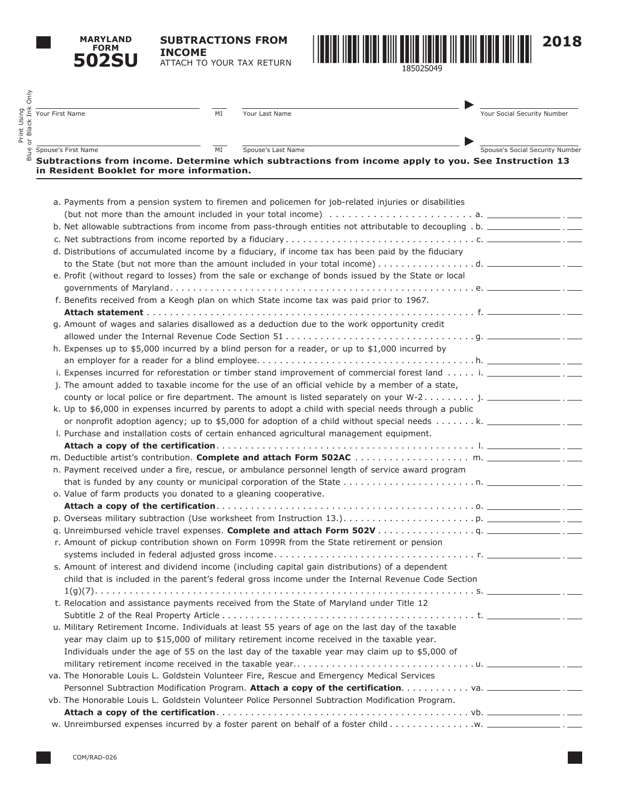**MARYLAND FORM 502SU** **SUBTRACTIONS FROM INCOME** ATTACH TO YOUR TAX RETURN



| Your First Name<br>MI                                            | Your Last Name                                                                                                      | Your Social Security Number     |
|------------------------------------------------------------------|---------------------------------------------------------------------------------------------------------------------|---------------------------------|
|                                                                  |                                                                                                                     |                                 |
| MI<br>Spouse's First Name                                        | Spouse's Last Name                                                                                                  | Spouse's Social Security Number |
| in Resident Booklet for more information.                        | Subtractions from income. Determine which subtractions from income apply to you. See Instruction 13                 |                                 |
|                                                                  |                                                                                                                     |                                 |
|                                                                  | a. Payments from a pension system to firemen and policemen for job-related injuries or disabilities                 |                                 |
|                                                                  |                                                                                                                     |                                 |
|                                                                  |                                                                                                                     |                                 |
|                                                                  |                                                                                                                     |                                 |
|                                                                  | d. Distributions of accumulated income by a fiduciary, if income tax has been paid by the fiduciary                 |                                 |
|                                                                  |                                                                                                                     |                                 |
|                                                                  | e. Profit (without regard to losses) from the sale or exchange of bonds issued by the State or local                |                                 |
|                                                                  |                                                                                                                     |                                 |
|                                                                  | f. Benefits received from a Keogh plan on which State income tax was paid prior to 1967.                            |                                 |
|                                                                  |                                                                                                                     |                                 |
|                                                                  | g. Amount of wages and salaries disallowed as a deduction due to the work opportunity credit                        |                                 |
|                                                                  |                                                                                                                     |                                 |
|                                                                  | h. Expenses up to \$5,000 incurred by a blind person for a reader, or up to \$1,000 incurred by                     |                                 |
|                                                                  |                                                                                                                     |                                 |
|                                                                  | i. Expenses incurred for reforestation or timber stand improvement of commercial forest land i. __________________. |                                 |
|                                                                  | j. The amount added to taxable income for the use of an official vehicle by a member of a state,                    |                                 |
|                                                                  |                                                                                                                     |                                 |
|                                                                  | k. Up to \$6,000 in expenses incurred by parents to adopt a child with special needs through a public               |                                 |
|                                                                  | or nonprofit adoption agency; up to \$5,000 for adoption of a child without special needs k. ___________________.   |                                 |
|                                                                  | I. Purchase and installation costs of certain enhanced agricultural management equipment.                           |                                 |
|                                                                  |                                                                                                                     |                                 |
|                                                                  |                                                                                                                     |                                 |
|                                                                  | n. Payment received under a fire, rescue, or ambulance personnel length of service award program                    |                                 |
|                                                                  |                                                                                                                     |                                 |
| o. Value of farm products you donated to a gleaning cooperative. |                                                                                                                     |                                 |
|                                                                  |                                                                                                                     |                                 |
|                                                                  |                                                                                                                     |                                 |
|                                                                  |                                                                                                                     |                                 |
|                                                                  | r. Amount of pickup contribution shown on Form 1099R from the State retirement or pension                           |                                 |
|                                                                  |                                                                                                                     |                                 |
|                                                                  | s. Amount of interest and dividend income (including capital gain distributions) of a dependent                     |                                 |
|                                                                  | child that is included in the parent's federal gross income under the Internal Revenue Code Section                 |                                 |
|                                                                  |                                                                                                                     |                                 |
|                                                                  | t. Relocation and assistance payments received from the State of Maryland under Title 12                            |                                 |
|                                                                  |                                                                                                                     |                                 |
|                                                                  | u. Military Retirement Income. Individuals at least 55 years of age on the last day of the taxable                  |                                 |
|                                                                  | year may claim up to \$15,000 of military retirement income received in the taxable year.                           |                                 |
|                                                                  | Individuals under the age of 55 on the last day of the taxable year may claim up to \$5,000 of                      |                                 |
|                                                                  |                                                                                                                     |                                 |
|                                                                  | va. The Honorable Louis L. Goldstein Volunteer Fire, Rescue and Emergency Medical Services                          |                                 |
|                                                                  | vb. The Honorable Louis L. Goldstein Volunteer Police Personnel Subtraction Modification Program.                   |                                 |
|                                                                  |                                                                                                                     |                                 |
|                                                                  |                                                                                                                     |                                 |

w. Unreimbursed expenses incurred by a foster parent on behalf of a foster child. . w.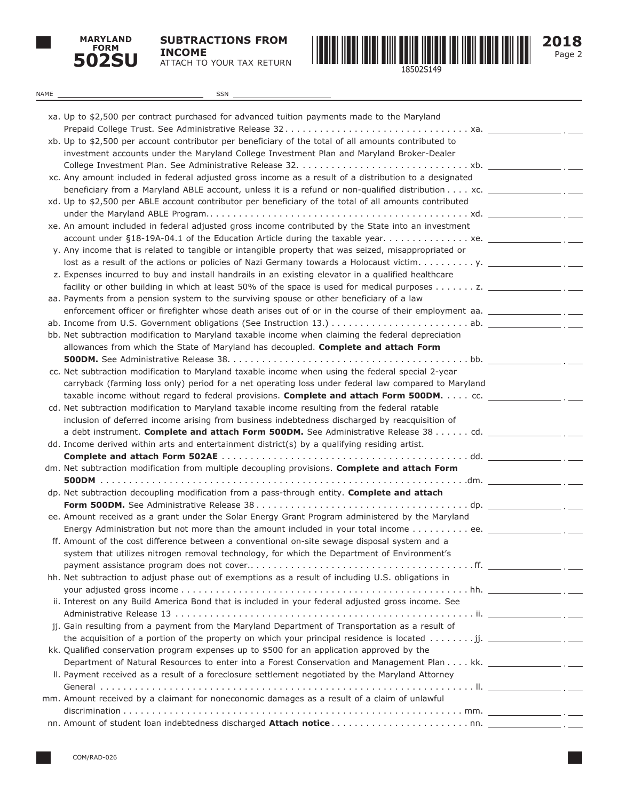

**SUBTRACTIONS FROM INCOME** ATTACH TO YOUR TAX RETURN



Page 2 **2018**

| NAME | SSN                                                                                                                       |  |
|------|---------------------------------------------------------------------------------------------------------------------------|--|
|      |                                                                                                                           |  |
|      | xa. Up to \$2,500 per contract purchased for advanced tuition payments made to the Maryland                               |  |
|      |                                                                                                                           |  |
|      | xb. Up to \$2,500 per account contributor per beneficiary of the total of all amounts contributed to                      |  |
|      | investment accounts under the Maryland College Investment Plan and Maryland Broker-Dealer                                 |  |
|      |                                                                                                                           |  |
|      | xc. Any amount included in federal adjusted gross income as a result of a distribution to a designated                    |  |
|      | beneficiary from a Maryland ABLE account, unless it is a refund or non-qualified distribution $\dots$ xc. $\frac{\ }{\ }$ |  |
|      | xd. Up to \$2,500 per ABLE account contributor per beneficiary of the total of all amounts contributed                    |  |
|      |                                                                                                                           |  |
|      | xe. An amount included in federal adjusted gross income contributed by the State into an investment                       |  |
|      |                                                                                                                           |  |
|      | y. Any income that is related to tangible or intangible property that was seized, misappropriated or                      |  |
|      |                                                                                                                           |  |
|      | z. Expenses incurred to buy and install handrails in an existing elevator in a qualified healthcare                       |  |
|      |                                                                                                                           |  |
|      | aa. Payments from a pension system to the surviving spouse or other beneficiary of a law                                  |  |
|      | enforcement officer or firefighter whose death arises out of or in the course of their employment aa. _________________.  |  |
|      |                                                                                                                           |  |
|      | bb. Net subtraction modification to Maryland taxable income when claiming the federal depreciation                        |  |
|      | allowances from which the State of Maryland has decoupled. Complete and attach Form                                       |  |
|      | cc. Net subtraction modification to Maryland taxable income when using the federal special 2-year                         |  |
|      |                                                                                                                           |  |
|      | carryback (farming loss only) period for a net operating loss under federal law compared to Maryland                      |  |
|      | taxable income without regard to federal provisions. Complete and attach Form 500DM. cc. _________                        |  |
|      | cd. Net subtraction modification to Maryland taxable income resulting from the federal ratable                            |  |
|      | inclusion of deferred income arising from business indebtedness discharged by reacquisition of                            |  |
|      | a debt instrument. Complete and attach Form 500DM. See Administrative Release 38 cd.                                      |  |
|      | dd. Income derived within arts and entertainment district(s) by a qualifying residing artist.                             |  |
|      | dm. Net subtraction modification from multiple decoupling provisions. Complete and attach Form                            |  |
|      |                                                                                                                           |  |
|      | dp. Net subtraction decoupling modification from a pass-through entity. Complete and attach                               |  |
|      |                                                                                                                           |  |
|      | ee. Amount received as a grant under the Solar Energy Grant Program administered by the Maryland                          |  |
|      | Energy Administration but not more than the amount included in your total income ee. ___________                          |  |
|      | ff. Amount of the cost difference between a conventional on-site sewage disposal system and a                             |  |
|      | system that utilizes nitrogen removal technology, for which the Department of Environment's                               |  |
|      |                                                                                                                           |  |
|      | hh. Net subtraction to adjust phase out of exemptions as a result of including U.S. obligations in                        |  |
|      |                                                                                                                           |  |
|      | ii. Interest on any Build America Bond that is included in your federal adjusted gross income. See                        |  |
|      |                                                                                                                           |  |
|      | jj. Gain resulting from a payment from the Maryland Department of Transportation as a result of                           |  |
|      | the acquisition of a portion of the property on which your principal residence is located $\dots \dots$ . ji.             |  |
|      | kk. Qualified conservation program expenses up to \$500 for an application approved by the                                |  |
|      |                                                                                                                           |  |
|      | II. Payment received as a result of a foreclosure settlement negotiated by the Maryland Attorney                          |  |
|      |                                                                                                                           |  |
|      | mm. Amount received by a claimant for noneconomic damages as a result of a claim of unlawful                              |  |
|      |                                                                                                                           |  |
|      |                                                                                                                           |  |
|      |                                                                                                                           |  |